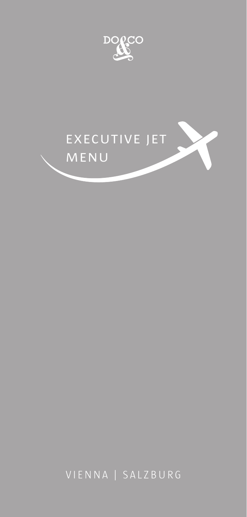



VIENNA | SALZBURG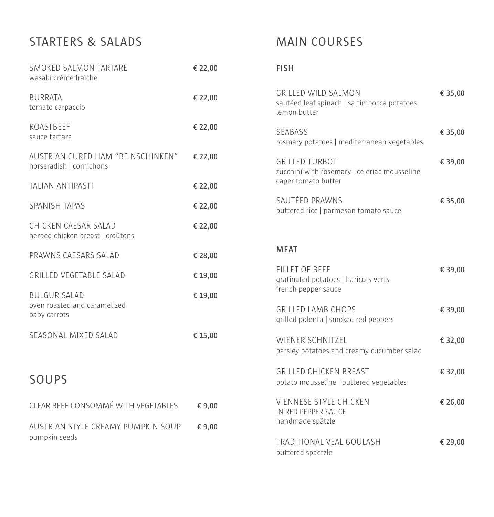# STARTERS & SALADS

| SMOKED SALMON TARTARE<br>wasabi crème fraîche                       | € 22,00 |
|---------------------------------------------------------------------|---------|
| <b>BURRATA</b><br>tomato carpaccio                                  | € 22,00 |
| <b>ROASTBEEF</b><br>sauce tartare                                   | € 22,00 |
| AUSTRIAN CURED HAM "BEINSCHINKEN"<br>horseradish   cornichons       | € 22,00 |
| <b>TALIAN ANTIPASTI</b>                                             | € 22,00 |
| <b>SPANISH TAPAS</b>                                                | € 22,00 |
| CHICKEN CAESAR SALAD<br>herbed chicken breast   croûtons            | € 22,00 |
| PRAWNS CAESARS SALAD                                                | € 28,00 |
| <b>GRILLED VEGETABLE SALAD</b>                                      | € 19,00 |
| <b>BULGUR SALAD</b><br>oven roasted and caramelized<br>baby carrots | € 19,00 |
| SEASONAL MIXED SALAD                                                | € 15,00 |
| SOUPS                                                               |         |

| CLEAR BEEF CONSOMMÉ WITH VEGETABLES | € 9.00 |
|-------------------------------------|--------|
| AUSTRIAN STYLE CREAMY PUMPKIN SOUP  | € 9.00 |
| pumpkin seeds                       |        |

# MAIN COURSES

#### **FISH**

| GRILLED WILD SALMON<br>sautéed leaf spinach   saltimbocca potatoes<br>lemon butter           | € 35,00 |
|----------------------------------------------------------------------------------------------|---------|
| <b>SFABASS</b><br>rosmary potatoes   mediterranean vegetables                                | € 35,00 |
| <b>GRILLED TURBOT</b><br>zucchini with rosemary   celeriac mousseline<br>caper tomato butter | € 39,00 |
| SAUTÉED PRAWNS<br>buttered rice   parmesan tomato sauce                                      | € 35,00 |

#### **MEAT**

| FILLET OF BEFF    | gratinated potatoes   haricots verts<br>french pepper sauce       | € 39,00 |
|-------------------|-------------------------------------------------------------------|---------|
|                   | <b>GRILLED LAMB CHOPS</b><br>grilled polenta   smoked red peppers | € 39,00 |
|                   | WIENER SCHNITZEL<br>parsley potatoes and creamy cucumber salad    | € 32,00 |
|                   | GRILLED CHICKEN BREAST<br>potato mousseline   buttered vegetables | € 32,00 |
| handmade spätzle  | <b>VIENNESE STYLE CHICKEN</b><br>IN RED PEPPER SAUCE              | € 26,00 |
| buttered spaetzle | TRADITIONAL VEAL GOULASH                                          | € 29,00 |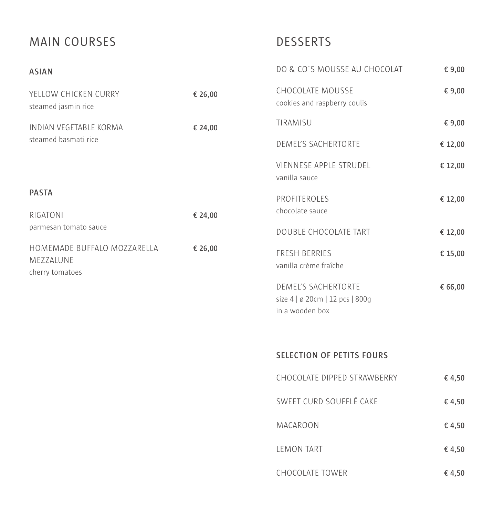# MAIN COURSES

## DESSERTS

| <b>ASIAN</b>                                                |         | DO & CO'S MOUSSE AU CHOCOLAT                           | € 9,00  |
|-------------------------------------------------------------|---------|--------------------------------------------------------|---------|
| YELLOW CHICKEN CURRY<br>steamed jasmin rice                 | € 26,00 | CHOCOLATE MOUSSE<br>cookies and raspberry coulis       | € 9,00  |
| INDIAN VEGETABLE KORMA                                      | € 24,00 | TIRAMISU                                               | € 9,00  |
| steamed basmati rice                                        |         | DEMEL'S SACHERTORTE                                    | € 12,00 |
|                                                             |         | VIENNESE APPLE STRUDEL<br>vanilla sauce                | € 12,00 |
| <b>PASTA</b>                                                |         | PROFITEROLES                                           | € 12,00 |
| RIGATONI<br>parmesan tomato sauce                           | € 24,00 | chocolate sauce                                        |         |
|                                                             |         | DOUBLE CHOCOLATE TART                                  | € 12,00 |
| HOMEMADE BUFFALO MOZZARELLA<br>MEZZALUNE<br>cherry tomatoes | € 26,00 | FRESH BERRIES<br>vanilla crème fraîche                 | € 15,00 |
|                                                             |         | DEMEL'S SACHERTORTE<br>size 4   ø 20cm   12 pcs   800g | € 66,00 |

### **SELECTION OF PETITS FOURS**

in a wooden box

| CHOCOLATE DIPPED STRAWBERRY | € 4,50 |
|-----------------------------|--------|
| SWEET CURD SOUFFLÉ CAKE     | € 4,50 |
| MACAROON                    | € 4,50 |
| LEMON TART                  | € 4,50 |
| CHOCOLATE TOWER             | € 4,50 |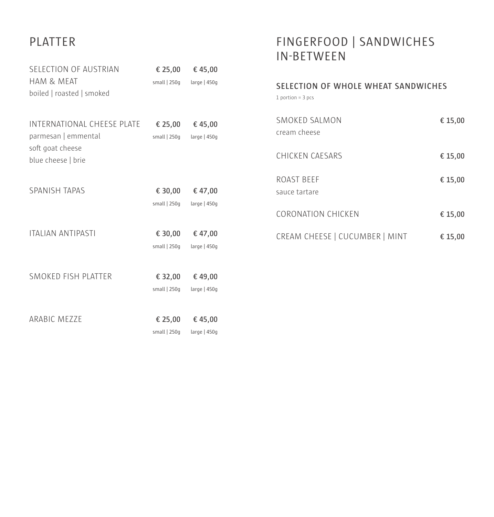# PLATTER

## FINGERFOOD | SANDWICHES IN-BETWEEN

| SELECTION OF AUSTRIAN<br>HAM & MEAT<br>boiled   roasted   smoked                            | € 25,00 $\epsilon$ 45,00<br>small   250g              | large   450g            |  |
|---------------------------------------------------------------------------------------------|-------------------------------------------------------|-------------------------|--|
| INTERNATIONAL CHEESE PLATE<br>parmesan   emmental<br>soft goat cheese<br>blue cheese   brie | € 25,00 $\epsilon$ 45,00<br>small   250g large   450g |                         |  |
| <b>SPANISH TAPAS</b>                                                                        | € 30,00 $\epsilon$ 47,00<br>small   250g large   450g |                         |  |
| <b>ITALIAN ANTIPASTI</b>                                                                    | € 30,00 € 47,00<br>small   250g large   450g          |                         |  |
| SMOKED FISH PLATTER                                                                         | € 32,00<br>small   250g                               | €49,00<br>large $ 450q$ |  |
| ARABIC MEZZE                                                                                | € 25,00<br>small   250g                               | €45,00<br>large   450g  |  |

| SELECTION OF WHOLE WHEAT SANDWICHES<br>$1$ portion = $3$ pcs |         |
|--------------------------------------------------------------|---------|
| SMOKED SALMON<br>cream cheese                                | € 15,00 |
| CHICKEN CAESARS                                              | € 15,00 |
| ROAST BFFF<br>sauce tartare                                  | € 15,00 |
| <b>CORONATION CHICKEN</b>                                    | € 15,00 |
| CREAM CHEESE   CUCUMBER   MINT                               | € 15,00 |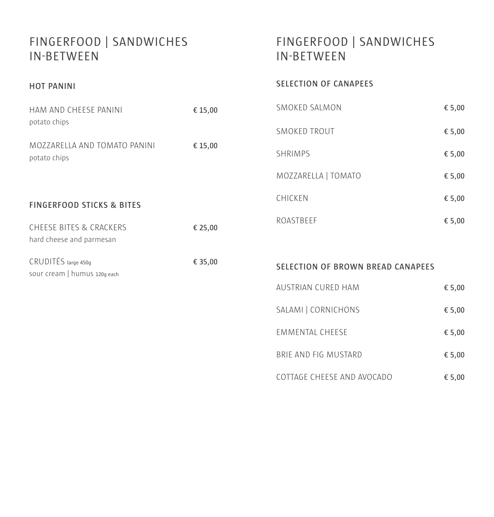### FINGERFOOD | SANDWICHES IN-BETWEEN

**HOT PANINI**

# FINGERFOOD | SANDWICHES IN-BETWEEN

#### **SELECTION OF CANAPEES**

| HAM AND CHEESE PANINI                                          | € 15,00 | SMOKED SALMON                            | € 5,00 |
|----------------------------------------------------------------|---------|------------------------------------------|--------|
| potato chips                                                   |         | <b>SMOKED TROUT</b>                      | € 5,00 |
| MOZZARELLA AND TOMATO PANINI<br>potato chips                   | € 15,00 | <b>SHRIMPS</b>                           | € 5,00 |
|                                                                |         | MOZZARELLA   TOMATO                      | € 5,00 |
| <b>FINGERFOOD STICKS &amp; BITES</b>                           |         | CHICKEN                                  | € 5,00 |
| <b>CHEESE BITES &amp; CRACKERS</b><br>hard cheese and parmesan | € 25,00 | ROASTBEEF                                | € 5,00 |
| CRUDITÉS large 450g<br>sour cream   humus 120g each            | € 35,00 | <b>SELECTION OF BROWN BREAD CANAPEES</b> |        |
|                                                                |         | AUSTRIAN CURED HAM                       | € 5,00 |

| AUSTRIAN CURED HAM   | $E$ 5.00 |
|----------------------|----------|
| SALAMI   CORNICHONS  | € 5.00   |
| EMMENTAL CHEESE      | € 5,00   |
| BRIF AND FIG MUSTARD | € 5.00   |

COTTAGE CHEESE AND AVOCADO **€ 5,00**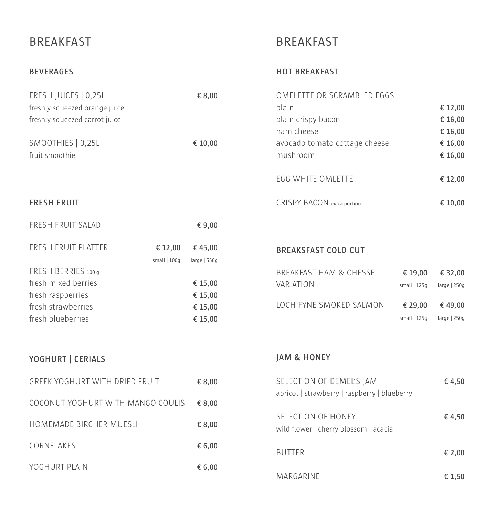### BREAKFAST

### BREAKFAST

#### **BEVERAGES**

#### **HOT BREAKFAST**

MARGARINE **€ 1,50**

| FRESH JUICES   0,25L<br>freshly squeezed orange juice<br>freshly squeezed carrot juice |                          | € 8,00                 | OMELETTE OR SCRAMBLED EGGS<br>plain<br>plain crispy bacon<br>ham cheese |               | € 12,00<br>€ 16,00<br>€ 16,00 |
|----------------------------------------------------------------------------------------|--------------------------|------------------------|-------------------------------------------------------------------------|---------------|-------------------------------|
| SMOOTHIES   0,25L<br>fruit smoothie                                                    |                          | € 10,00                | avocado tomato cottage cheese<br>mushroom                               |               | € 16,00<br>€ 16,00            |
|                                                                                        |                          |                        | EGG WHITE OMLETTE                                                       |               | € 12,00                       |
| <b>FRESH FRUIT</b>                                                                     |                          |                        | <b>CRISPY BACON</b> extra portion                                       |               | € 10,00                       |
| FRESH FRUIT SALAD                                                                      |                          | € 9,00                 |                                                                         |               |                               |
| FRESH FRUIT PLATTER                                                                    | € 12,00<br>small $ 100q$ | €45,00<br>large   550g | <b>BREAKSFAST COLD CUT</b>                                              |               |                               |
| FRESH BERRIES 100 g                                                                    |                          |                        | <b>BREAKFAST HAM &amp; CHESSE</b>                                       | € 19,00       | € 32,00                       |
| fresh mixed berries                                                                    |                          | € 15,00                | VARIATION                                                               | small $ 125q$ | large   250g                  |
| fresh raspberries<br>fresh strawberries                                                |                          | € 15,00<br>€ 15,00     | LOCH FYNE SMOKED SALMON                                                 | € 29,00       | €49,00                        |
| fresh blueberries                                                                      |                          | € 15,00                |                                                                         | small $ 125q$ | large $ 250q$                 |
| YOGHURT   CERIALS                                                                      |                          |                        | <b>JAM &amp; HONEY</b>                                                  |               |                               |
|                                                                                        |                          |                        |                                                                         |               |                               |
| GREEK YOGHURT WITH DRIED FRUIT                                                         |                          | € 8,00                 | SELECTION OF DEMEL'S JAM                                                |               | €4,50                         |
| COCONUT YOGHURT WITH MANGO COULIS                                                      |                          | € 8,00                 | apricot   strawberry   raspberry   blueberry                            |               |                               |
| HOMEMADE BIRCHER MUESLI                                                                |                          | € 8,00                 | SELECTION OF HONEY<br>wild flower   cherry blossom   acacia             |               | €4,50                         |
| CORNFLAKES                                                                             |                          | € 6,00                 | <b>BUTTER</b>                                                           |               | € 2,00                        |
| YOGHURT PLAIN                                                                          |                          | € 6,00                 |                                                                         |               |                               |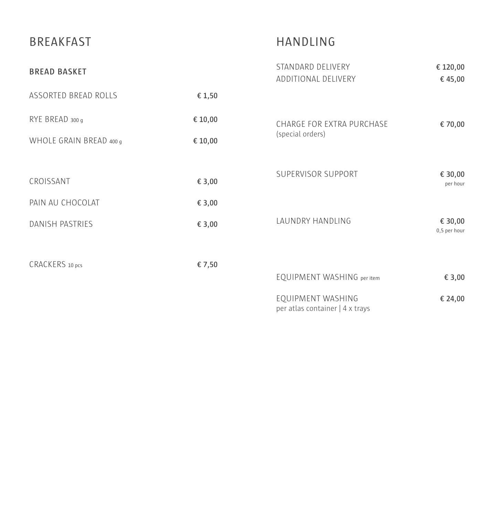| <b>BREAKFAST</b>        |         | <b>HANDLING</b>                                      |                         |  |
|-------------------------|---------|------------------------------------------------------|-------------------------|--|
| <b>BREAD BASKET</b>     |         | STANDARD DELIVERY<br>ADDITIONAL DELIVERY             | € 120,00<br>€45,00      |  |
| ASSORTED BREAD ROLLS    | € 1,50  |                                                      |                         |  |
| RYE BREAD 300 g         | € 10,00 | CHARGE FOR EXTRA PURCHASE                            | € 70,00                 |  |
| WHOLE GRAIN BREAD 400 g | € 10,00 | (special orders)                                     |                         |  |
|                         |         | SUPERVISOR SUPPORT                                   |                         |  |
| CROISSANT               | € 3,00  |                                                      | € 30,00<br>per hour     |  |
| PAIN AU CHOCOLAT        | € 3,00  |                                                      |                         |  |
| <b>DANISH PASTRIES</b>  | € 3,00  | LAUNDRY HANDLING                                     | € 30,00<br>0,5 per hour |  |
|                         |         |                                                      |                         |  |
| CRACKERS 10 pcs         | € 7,50  | EQUIPMENT WASHING per item                           | € 3,00                  |  |
|                         |         | EQUIPMENT WASHING<br>per atlas container   4 x trays | € 24,00                 |  |